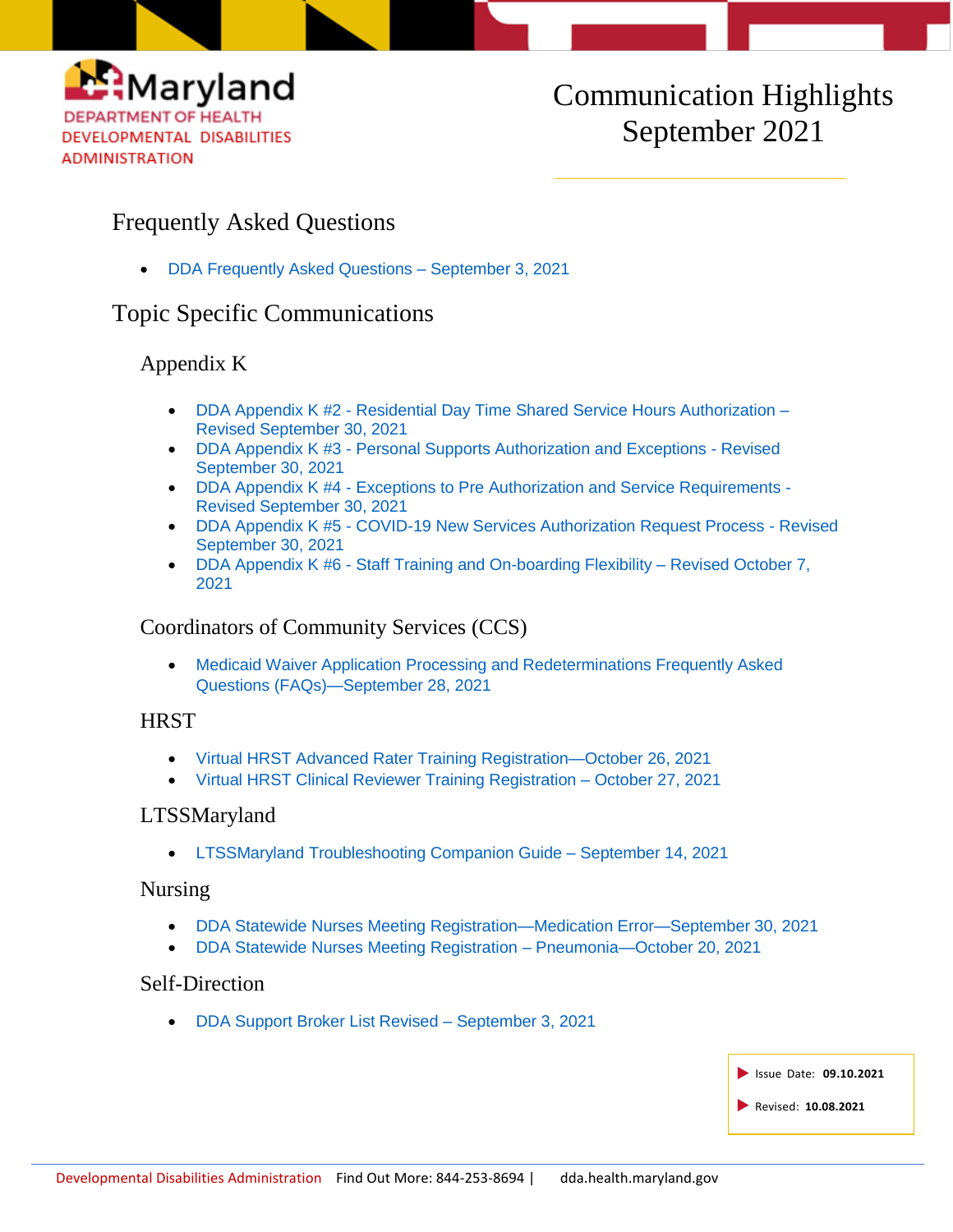

# Communication Highlights September 2021

# Frequently Asked Questions

[DDA Frequently Asked Questions –](https://health.maryland.gov/dda/Documents/What%27s%20New%20Page/9.3.21/DDA%20Frequently%20Asked%20Questions%20-%20Revised%20September%203%2c%20%202021.pdf) September 3, 2021

## Topic Specific Communications

## Appendix K

- DDA Appendix K #2 [Residential Day Time Shared Service Hours Authorization –](https://health.maryland.gov/dda/Documents/COVID%2019%20Documents/Appendix%20K/10.1.21/2-DDA%20Appendix%20K%202-Residential%20Day%20Time%20Shared%20Service%20Hours%20Authorization%20Revised%209-30-21.docx.pdf) [Revised September 30, 2021](https://health.maryland.gov/dda/Documents/COVID%2019%20Documents/Appendix%20K/10.1.21/2-DDA%20Appendix%20K%202-Residential%20Day%20Time%20Shared%20Service%20Hours%20Authorization%20Revised%209-30-21.docx.pdf)
- DDA Appendix K #3 [Personal Supports Authorization and Exceptions -](https://health.maryland.gov/dda/Documents/COVID%2019%20Documents/Appendix%20K/10.1.21/3-DDA%20Appendix%20K%203-%20Personal%20Supports%20Authorization%20and%20Expectations%20-%20Revised%209-30-21.docx.pdf) Revised [September 30, 2021](https://health.maryland.gov/dda/Documents/COVID%2019%20Documents/Appendix%20K/10.1.21/3-DDA%20Appendix%20K%203-%20Personal%20Supports%20Authorization%20and%20Expectations%20-%20Revised%209-30-21.docx.pdf)
- DDA Appendix K #4 [Exceptions to Pre Authorization and Service Requirements -](https://health.maryland.gov/dda/Documents/COVID%2019%20Documents/Appendix%20K/10.1.21/4-DDA%20Appendix%20K%204-Execptions%20to%20Pre%20Authorization%20and%20Service%20Requirements%20-%20Revised%209-30-21.docx.pdf) [Revised September 30, 2021](https://health.maryland.gov/dda/Documents/COVID%2019%20Documents/Appendix%20K/10.1.21/4-DDA%20Appendix%20K%204-Execptions%20to%20Pre%20Authorization%20and%20Service%20Requirements%20-%20Revised%209-30-21.docx.pdf)
- DDA Appendix K #5 [COVID-19 New Services Authorization Request Process -](https://health.maryland.gov/dda/Documents/COVID%2019%20Documents/Appendix%20K/10.1.21/4-DDA%20Appendix%20K%204-Execptions%20to%20Pre%20Authorization%20and%20Service%20Requirements%20-%20Revised%209-30-21.docx.pdf) Revised [September 30, 2021](https://health.maryland.gov/dda/Documents/COVID%2019%20Documents/Appendix%20K/10.1.21/4-DDA%20Appendix%20K%204-Execptions%20to%20Pre%20Authorization%20and%20Service%20Requirements%20-%20Revised%209-30-21.docx.pdf)
- DDA Appendix K #6 [Staff Training and On-boarding Flexibility](https://health.maryland.gov/dda/Documents/COVID%2019%20Documents/Appendix%20K/10.7.21/6-DDA%20Appendix%20K%206-%20Staff%20Training%20and%20On-Boarding%20Flexibility%20-%20Revised%2010-7-21.pdf) Revised October 7, [2021](https://health.maryland.gov/dda/Documents/COVID%2019%20Documents/Appendix%20K/10.7.21/6-DDA%20Appendix%20K%206-%20Staff%20Training%20and%20On-Boarding%20Flexibility%20-%20Revised%2010-7-21.pdf)

## Coordinators of Community Services (CCS)

 [Medicaid Waiver Application Processing and Redeterminations Frequently Asked](https://health.maryland.gov/dda/Documents/Coordination%20of%20Community%20Services/Coordinator%20Resources/9.29.21/Medicaid%20Waiver%20Application%20Processing%20and%20Redetermination%20FAQs.pdf)  [Questions \(FAQs\)—September 28, 2021](https://health.maryland.gov/dda/Documents/Coordination%20of%20Community%20Services/Coordinator%20Resources/9.29.21/Medicaid%20Waiver%20Application%20Processing%20and%20Redetermination%20FAQs.pdf)

### **HRST**

- [Virtual HRST Advanced Rater Training Registration—October 26, 2021](http://r20.rs6.net/tn.jsp?f=001G8H-DDMiIMcH0raLfJpPcHFzMr1fWx6zYJLC5DcurKlsW_4ebLfm5LARhEi-J-hsxRRONiSwVBzhJiefyLcP_Zzm9avekAQ1_s-FIPTqEN1Q3_k_Dv2QjrWUG1D1pC46RYzxFcFskFqqmLl9RE9TRh9QxaSf6wAXexmNoFGuoj_w-UQNew4pY463ZqO7eeDuzyk9RDHymhRDO3Rv8PFIVeYjGORIOOv0&c=7EWvfOsMUnNEoej6-5llOtKxnANaM5xBj_CgkvLM7u0CmMRFZtP1YA==&ch=xn75n_pp2mn3eBUMc86XzY_pXaHQ1aIgjeZJjJSxnEfFZzZ6HJQ2VA==)
- [Virtual HRST Clinical Reviewer Training Registration –](http://r20.rs6.net/tn.jsp?f=001ZiDcKfWQuTyS0klT3Re6YI8rFHXwRx21yT-WvXGmIaJjTQmuvgRlMZTja6vpYS42sBklvu4C6CJRse5c2fjBDGZL3Qy4nZJY4IVGSfVSdON2PsP5puHLrLVarMIB8RAwEEF1hpmzxnv8P2aQ1wMnuSKyulLWgInlBsas9spzmbdd5H-uB_tyq7RUqqaXSXNDg2Jp8Byytu8fjHUklqb1qd8QrAUYu6to&c=WwTX7FeLppQrqOmCWDTnYQeeZflAAwjPGZW4nn5n3BCZkYE_H00lhQ==&ch=iYQ6LulSHVlQjJ3rQC-tGYiG2RESQj9DnfHpVotjkK4EK0liwfdFhw==) October 27, 2021

### LTSSMaryland

[LTSSMaryland Troubleshooting Companion Guide –](https://health.maryland.gov/dda/Documents/LTSS%20Page/9.16.21/FINAL_Troubleshooting%20Companion%20Guide%209.14.21.pdf) September 14, 2021

#### Nursing

- [DDA Statewide Nurses Meeting Registration—Medication Error—September 30, 2021](http://r20.rs6.net/tn.jsp?f=001pbMHJ_qO9Gj0u4Ymc4d_r0b_yp_tmWU7iE-2jALi7hTx2NzeqMURDPOMmqLkLY24afP0-CpGu7IdDUVN-wfHypHF_qzWbaOam5rw0R3E2LdvkWmEminJBk5G_H5ULoz9-kYdVYMjtfSqomsF8eEVRBt-gjRsj4lVOfTt4xLICFbFXpWP7FcSn1gaFkU-Jrfze_t3qQKnj1nHkYM-qhGRKWPb7FPt_-2f&c=flQYWx-MK5k6wfsddOJiGxeEf5XpWAVtRG-5GChIP7AJvnQetu4BUA==&ch=QxZgZa0cqluN_I4GaqrZBg8X8hY13e0vNbYgN_BxoI7n-hM2J0sobA==)
- [DDA Statewide Nurses Meeting Registration –](http://r20.rs6.net/tn.jsp?f=001kJZccBtP4C2fC7vDhseYAha4iLSysoh8NwwnEndDPVMFnkDiTyIphS60-kZgTteaXIjA4Bd6yIEuNDvt1DZmHESheDGGqZ1iDA4aDb66rhCZINk0-UHWqJvy1Obpfp3BJCEsMa7PAqprVjqFrsGNxs5-CxmsNeSDUWTJHDg0yfO2dJ_7EEC3BTU0NjoONAC7VCf-0gFCVIkbuuIavMsI4Ju_zjyKuTDF&c=QgXh69vBNL1MdQ-CacEeXVWJSvcjjnKCKlz7FmVHGxj7zr_W7sAC0w==&ch=9Mhl59yU3CkUl8x1oRs78Jw7iy-BOG4K7eNmMT4w7h_jUX2qSs822g==) Pneumonia—October 20, 2021

#### Self-Direction

[DDA Support Broker List Revised –](https://health.maryland.gov/dda/Documents/Self-Directed%20Services%20Guidance%2c%20Forms%2c%20and%2c%20Webinars/9.3.21/DDA%20Support%20Broker%20List%20-%20Updated%2009.03.2021.pdf) September 3, 2021

| Issue Date: 09.10.2021 |
|------------------------|
| Revised: 10.08.2021    |